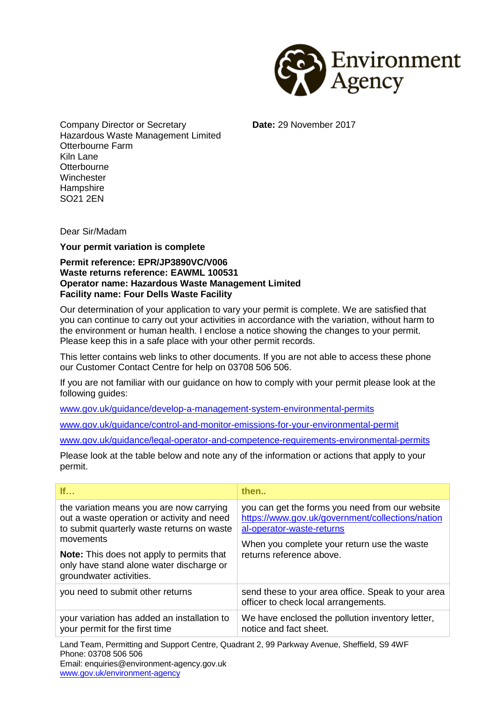

Company Director or Secretary Hazardous Waste Management Limited Otterbourne Farm Kiln Lane **Otterbourne Winchester Hampshire** SO21 2EN

**Date:** 29 November 2017

Dear Sir/Madam

**Your permit variation is complete**

## **Permit reference: EPR/JP3890VC/V006 Waste returns reference: EAWML 100531 Operator name: Hazardous Waste Management Limited Facility name: Four Dells Waste Facility**

Our determination of your application to vary your permit is complete. We are satisfied that you can continue to carry out your activities in accordance with the variation, without harm to the environment or human health. I enclose a notice showing the changes to your permit. Please keep this in a safe place with your other permit records.

This letter contains web links to other documents. If you are not able to access these phone our Customer Contact Centre for help on 03708 506 506.

If you are not familiar with our guidance on how to comply with your permit please look at the following guides:

[www.gov.uk/guidance/develop-a-management-system-environmental-permits](http://www.gov.uk/guidance/develop-a-management-system-environmental-permits)

[www.gov.uk/guidance/control-and-monitor-emissions-for-your-environmental-permit](http://www.gov.uk/guidance/control-and-monitor-emissions-for-your-environmental-permit)

[www.gov.uk/guidance/legal-operator-and-competence-requirements-environmental-permits](http://www.gov.uk/guidance/legal-operator-and-competence-requirements-environmental-permits)

Please look at the table below and note any of the information or actions that apply to your permit.

| If                                                                                                                                                                                                                                                                           | then                                                                                                                                                                                                        |
|------------------------------------------------------------------------------------------------------------------------------------------------------------------------------------------------------------------------------------------------------------------------------|-------------------------------------------------------------------------------------------------------------------------------------------------------------------------------------------------------------|
| the variation means you are now carrying<br>out a waste operation or activity and need<br>to submit quarterly waste returns on waste<br>movements<br><b>Note:</b> This does not apply to permits that<br>only have stand alone water discharge or<br>groundwater activities. | you can get the forms you need from our website<br>https://www.gov.uk/government/collections/nation<br>al-operator-waste-returns<br>When you complete your return use the waste<br>returns reference above. |
| you need to submit other returns                                                                                                                                                                                                                                             | send these to your area office. Speak to your area<br>officer to check local arrangements.                                                                                                                  |
| your variation has added an installation to<br>your permit for the first time                                                                                                                                                                                                | We have enclosed the pollution inventory letter,<br>notice and fact sheet.                                                                                                                                  |
| Land Team, Permitting and Support Centre, Quadrant 2, 99 Parkway Avenue, Sheffield, S9 4WF<br>Phone: 03708 506 506<br>Email: enquiries@environment-agency.gov.uk                                                                                                             |                                                                                                                                                                                                             |

[www.gov.uk/environment-agency](http://www.gov.uk/environment-agency)